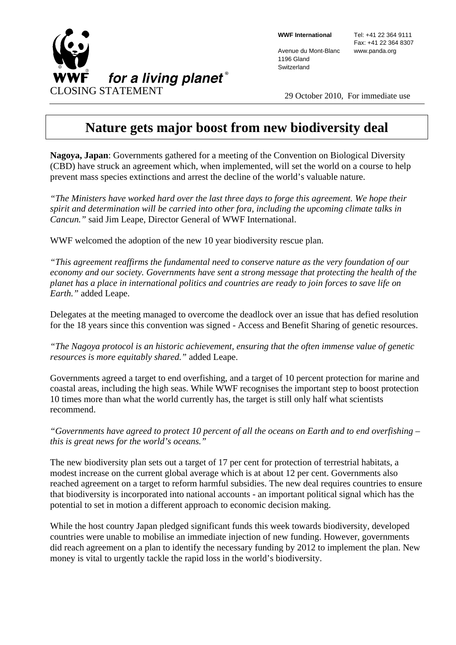

**WWF International** 

Avenue du Mont-Blanc 1196 Gland **Switzerland** 

 Tel: +41 22 364 9111 Fax: +41 22 364 8307 www.panda.org

## **Nature gets major boost from new biodiversity deal**

**Nagoya, Japan**: Governments gathered for a meeting of the Convention on Biological Diversity (CBD) have struck an agreement which, when implemented, will set the world on a course to help prevent mass species extinctions and arrest the decline of the world's valuable nature.

*"The Ministers have worked hard over the last three days to forge this agreement. We hope their spirit and determination will be carried into other fora, including the upcoming climate talks in Cancun."* said Jim Leape, Director General of WWF International.

WWF welcomed the adoption of the new 10 year biodiversity rescue plan.

*"This agreement reaffirms the fundamental need to conserve nature as the very foundation of our economy and our society. Governments have sent a strong message that protecting the health of the planet has a place in international politics and countries are ready to join forces to save life on Earth."* added Leape.

Delegates at the meeting managed to overcome the deadlock over an issue that has defied resolution for the 18 years since this convention was signed - Access and Benefit Sharing of genetic resources.

*"The Nagoya protocol is an historic achievement, ensuring that the often immense value of genetic resources is more equitably shared."* added Leape.

Governments agreed a target to end overfishing, and a target of 10 percent protection for marine and coastal areas, including the high seas. While WWF recognises the important step to boost protection 10 times more than what the world currently has, the target is still only half what scientists recommend.

*"Governments have agreed to protect 10 percent of all the oceans on Earth and to end overfishing – this is great news for the world's oceans."* 

The new biodiversity plan sets out a target of 17 per cent for protection of terrestrial habitats, a modest increase on the current global average which is at about 12 per cent. Governments also reached agreement on a target to reform harmful subsidies. The new deal requires countries to ensure that biodiversity is incorporated into national accounts - an important political signal which has the potential to set in motion a different approach to economic decision making.

While the host country Japan pledged significant funds this week towards biodiversity, developed countries were unable to mobilise an immediate injection of new funding. However, governments did reach agreement on a plan to identify the necessary funding by 2012 to implement the plan. New money is vital to urgently tackle the rapid loss in the world's biodiversity.